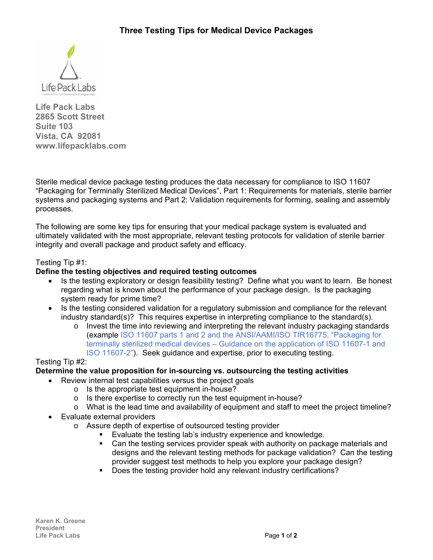

**Life Pack Labs 2865 Scott Street Suite 103 Vista, CA 92081 www.lifepacklabs.com** 

Sterile medical device package testing produces the data necessary for compliance to ISO 11607 "Packaging for Terminally Sterilized Medical Devices", Part 1: Requirements for materials, sterile barrier systems and packaging systems and Part 2: Validation requirements for forming, sealing and assembly processes.

The following are some key tips for ensuring that your medical package system is evaluated and ultimately validated with the most appropriate, relevant testing protocols for validation of sterile barrier integrity and overall package and product safety and efficacy.

## Testing Tip #1:

## **Define the testing objectives and required testing outcomes**

- Is the testing exploratory or design feasibility testing? Define what you want to learn. Be honest regarding what is known about the performance of your package design. Is the packaging system ready for prime time?
- Is the testing considered validation for a regulatory submission and compliance for the relevant industry standard(s)? This requires expertise in interpreting compliance to the standard(s).
	- $\circ$  Invest the time into reviewing and interpreting the relevant industry packaging standards (example ISO 11607 parts 1 and 2 and the ANSI/AAMI/ISO TIR16775, "Packaging for terminally sterilized medical devices – Guidance on the application of ISO 11607-1 and ISO 11607-2"). Seek guidance and expertise, prior to executing testing.

### Testing Tip #2:

# **Determine the value proposition for in-sourcing vs. outsourcing the testing activities**

- Review internal test capabilities versus the project goals
	- o Is the appropriate test equipment in-house?
	- o Is there expertise to correctly run the test equipment in-house?
	- $\circ$  What is the lead time and availability of equipment and staff to meet the project timeline?
- Evaluate external providers
	- o Assure depth of expertise of outsourced testing provider
		- Evaluate the testing lab's industry experience and knowledge.
		- **Can the testing services provider speak with authority on package materials and** designs and the relevant testing methods for package validation? Can the testing provider suggest test methods to help you explore your package design?
		- Does the testing provider hold any relevant industry certifications?